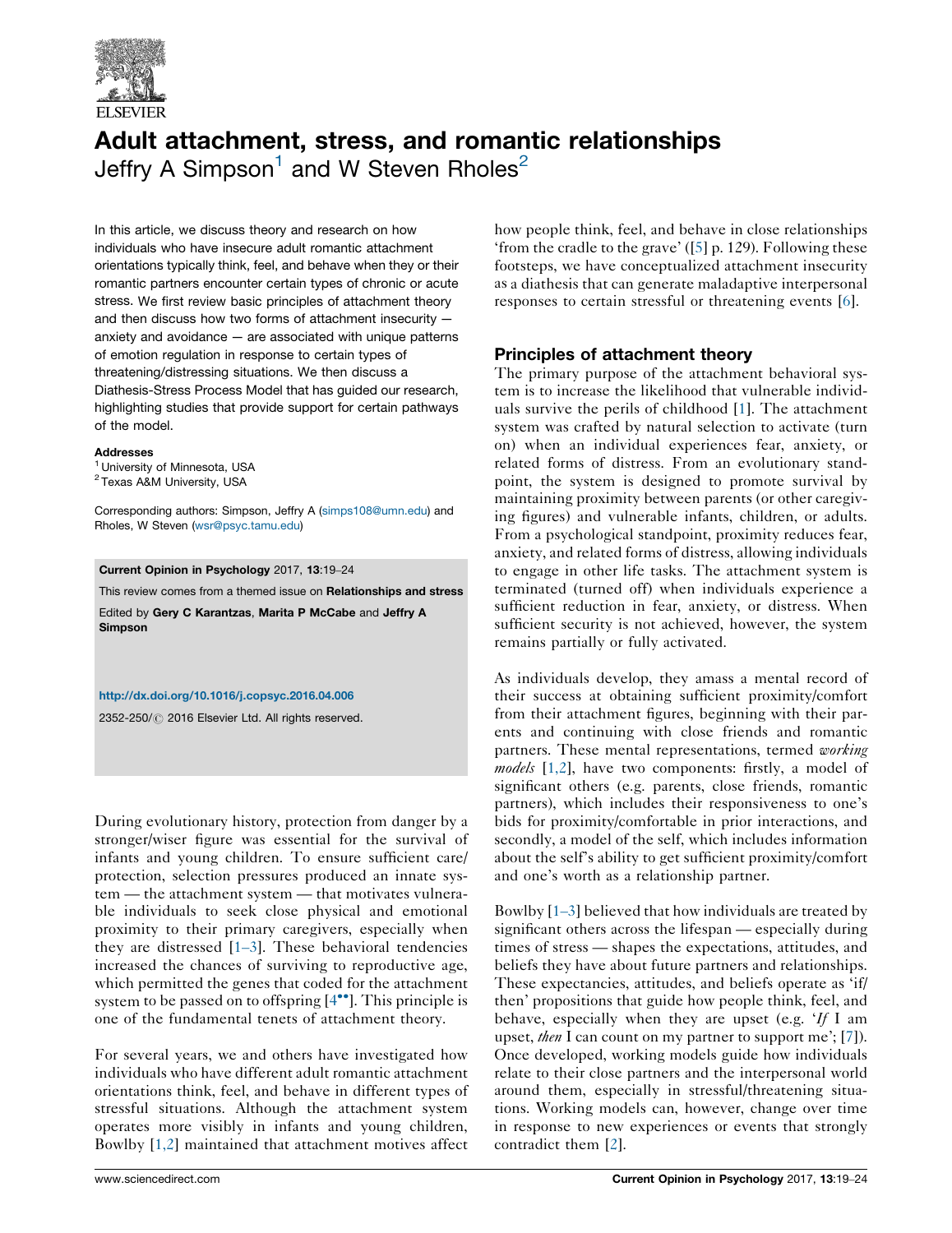

# Adult attachment, stress, and romantic relationships Jeffry A Simpson<sup>1</sup> and W Steven Rholes<sup>2</sup>

In this article, we discuss theory and research on how individuals who have insecure adult romantic attachment orientations typically think, feel, and behave when they or their romantic partners encounter certain types of chronic or acute stress. We first review basic principles of attachment theory and then discuss how two forms of attachment insecurity anxiety and avoidance — are associated with unique patterns of emotion regulation in response to certain types of threatening/distressing situations. We then discuss a Diathesis-Stress Process Model that has guided our research, highlighting studies that provide support for certain pathways of the model.

#### **Addresses**

- <sup>1</sup> University of Minnesota, USA
- <sup>2</sup> Texas A&M University, USA

Corresponding authors: Simpson, Jeffry A [\(simps108@umn.edu](mailto:simps108@umn.edu)) and Rholes, W Steven ([wsr@psyc.tamu.edu](mailto:wsr@psyc.tamu.edu))

## Current Opinion in Psychology 2017, 13:19–24

This review comes from a themed issue on Relationships and stress

Edited by Gery C Karantzas, Marita P McCabe and Jeffry A Simpson

## <http://dx.doi.org/10.1016/j.copsyc.2016.04.006>

2352-250/ 2016 Elsevier Ltd. All rights reserved.

During evolutionary history, protection from danger by a stronger/wiser figure was essential for the survival of infants and young children. To ensure sufficient care/ protection, selection pressures produced an innate system — the attachment system — that motivates vulnerable individuals to seek close physical and emotional proximity to their primary caregivers, especially when they are distressed  $[1-3]$  $[1-3]$ . These behavioral tendencies increased the chances of surviving to reproductive age, which permitted the genes that coded for the attachment system to be passed on to offspring  $[4^{\bullet\bullet}]$  $[4^{\bullet\bullet}]$ . This principle is one of the fundamental tenets of attachment theory.

For several years, we and others have investigated how individuals who have different adult romantic attachment orientations think, feel, and behave in different types of stressful situations. Although the attachment system operates more visibly in infants and young children, Bowlby [[1,2](#page-4-0)] maintained that attachment motives affect

how people think, feel, and behave in close relationships 'from the cradle to the grave' ([\[5](#page-4-0)] p. 129). Following these footsteps, we have conceptualized attachment insecurity as a diathesis that can generate maladaptive interpersonal responses to certain stressful or threatening events [\[6](#page-4-0)].

## Principles of attachment theory

The primary purpose of the attachment behavioral system is to increase the likelihood that vulnerable individuals survive the perils of childhood [\[1](#page-4-0)]. The attachment system was crafted by natural selection to activate (turn on) when an individual experiences fear, anxiety, or related forms of distress. From an evolutionary standpoint, the system is designed to promote survival by maintaining proximity between parents (or other caregiving figures) and vulnerable infants, children, or adults. From a psychological standpoint, proximity reduces fear, anxiety, and related forms of distress, allowing individuals to engage in other life tasks. The attachment system is terminated (turned off) when individuals experience a sufficient reduction in fear, anxiety, or distress. When sufficient security is not achieved, however, the system remains partially or fully activated.

As individuals develop, they amass a mental record of their success at obtaining sufficient proximity/comfort from their attachment figures, beginning with their parents and continuing with close friends and romantic partners. These mental representations, termed working models [\[1,2\]](#page-4-0), have two components: firstly, a model of significant others (e.g. parents, close friends, romantic partners), which includes their responsiveness to one's bids for proximity/comfortable in prior interactions, and secondly, a model of the self, which includes information about the self's ability to get sufficient proximity/comfort and one's worth as a relationship partner.

Bowlby [1–[3\]](#page-4-0) believed that how individuals are treated by significant others across the lifespan — especially during times of stress — shapes the expectations, attitudes, and beliefs they have about future partners and relationships. These expectancies, attitudes, and beliefs operate as 'if/ then' propositions that guide how people think, feel, and behave, especially when they are upset (e.g. 'If I am upset, *then* I can count on my partner to support me'; [\[7](#page-4-0)]). Once developed, working models guide how individuals relate to their close partners and the interpersonal world around them, especially in stressful/threatening situations. Working models can, however, change over time in response to new experiences or events that strongly contradict them [[2\]](#page-4-0).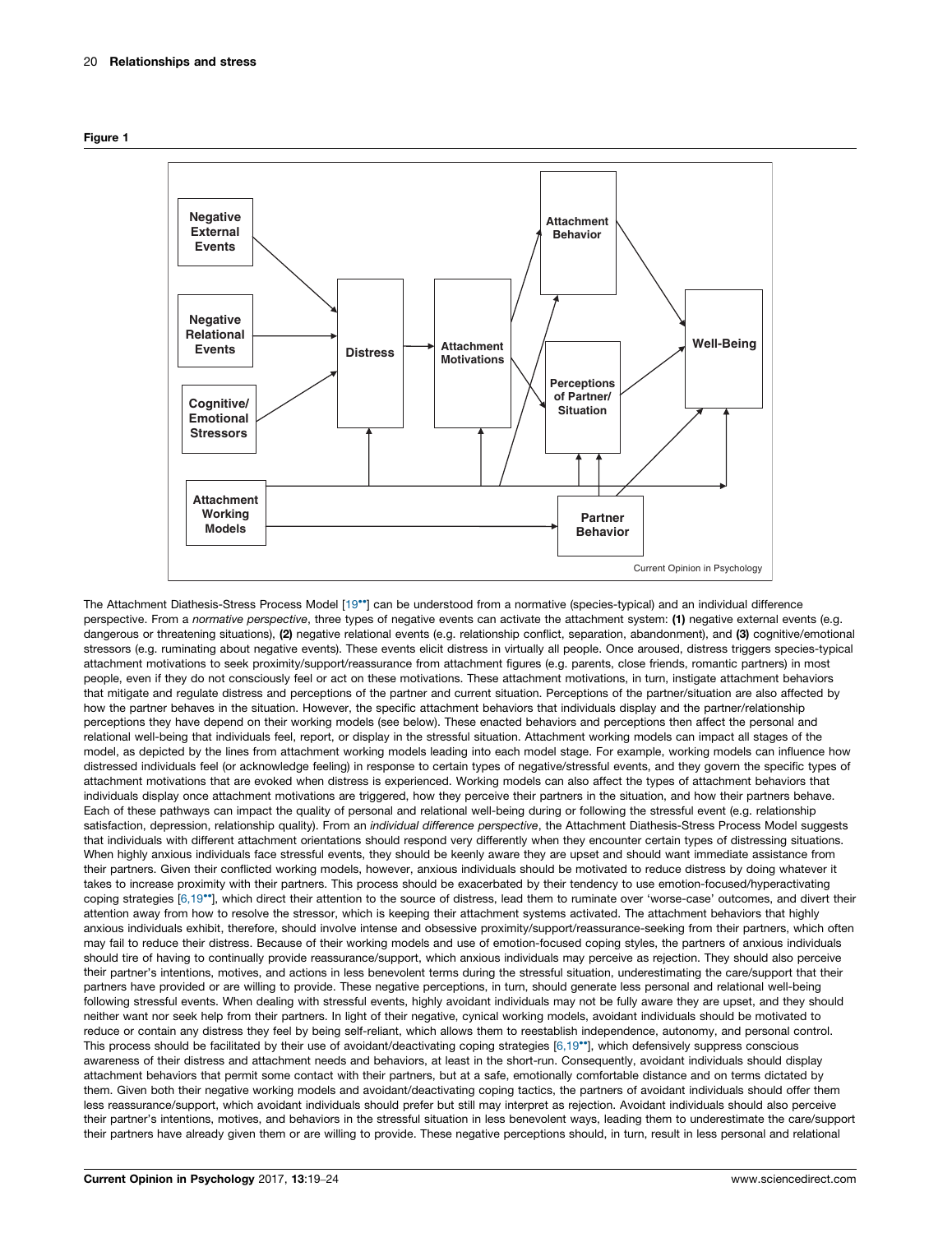<span id="page-1-0"></span>



The Attachment Diathesis-Stress Process Model [\[19](#page-4-0)<sup>\*</sup>] can be understood from a normative (species-typical) and an individual difference perspective. From a normative perspective, three types of negative events can activate the attachment system: (1) negative external events (e.g. dangerous or threatening situations), (2) negative relational events (e.g. relationship conflict, separation, abandonment), and (3) cognitive/emotional stressors (e.g. ruminating about negative events). These events elicit distress in virtually all people. Once aroused, distress triggers species-typical attachment motivations to seek proximity/support/reassurance from attachment figures (e.g. parents, close friends, romantic partners) in most people, even if they do not consciously feel or act on these motivations. These attachment motivations, in turn, instigate attachment behaviors that mitigate and regulate distress and perceptions of the partner and current situation. Perceptions of the partner/situation are also affected by how the partner behaves in the situation. However, the specific attachment behaviors that individuals display and the partner/relationship perceptions they have depend on their working models (see below). These enacted behaviors and perceptions then affect the personal and relational well-being that individuals feel, report, or display in the stressful situation. Attachment working models can impact all stages of the model, as depicted by the lines from attachment working models leading into each model stage. For example, working models can influence how distressed individuals feel (or acknowledge feeling) in response to certain types of negative/stressful events, and they govern the specific types of attachment motivations that are evoked when distress is experienced. Working models can also affect the types of attachment behaviors that individuals display once attachment motivations are triggered, how they perceive their partners in the situation, and how their partners behave. Each of these pathways can impact the quality of personal and relational well-being during or following the stressful event (e.g. relationship satisfaction, depression, relationship quality). From an individual difference perspective, the Attachment Diathesis-Stress Process Model suggests that individuals with different attachment orientations should respond very differently when they encounter certain types of distressing situations. When highly anxious individuals face stressful events, they should be keenly aware they are upset and should want immediate assistance from their partners. Given their conflicted working models, however, anxious individuals should be motivated to reduce distress by doing whatever it takes to increase proximity with their partners. This process should be exacerbated by their tendency to use emotion-focused/hyperactivating coping strategies [\[6,19](#page-4-0)\*\*], which direct their attention to the source of distress, lead them to ruminate over 'worse-case' outcomes, and divert their attention away from how to resolve the stressor, which is keeping their attachment systems activated. The attachment behaviors that highly anxious individuals exhibit, therefore, should involve intense and obsessive proximity/support/reassurance-seeking from their partners, which often may fail to reduce their distress. Because of their working models and use of emotion-focused coping styles, the partners of anxious individuals should tire of having to continually provide reassurance/support, which anxious individuals may perceive as rejection. They should also perceive their partner's intentions, motives, and actions in less benevolent terms during the stressful situation, underestimating the care/support that their partners have provided or are willing to provide. These negative perceptions, in turn, should generate less personal and relational well-being following stressful events. When dealing with stressful events, highly avoidant individuals may not be fully aware they are upset, and they should neither want nor seek help from their partners. In light of their negative, cynical working models, avoidant individuals should be motivated to reduce or contain any distress they feel by being self-reliant, which allows them to reestablish independence, autonomy, and personal control. This process should be facilitated by their use of avoidant/deactivating coping strategies [\[6,19](#page-4-0)\*], which defensively suppress conscious awareness of their distress and attachment needs and behaviors, at least in the short-run. Consequently, avoidant individuals should display attachment behaviors that permit some contact with their partners, but at a safe, emotionally comfortable distance and on terms dictated by them. Given both their negative working models and avoidant/deactivating coping tactics, the partners of avoidant individuals should offer them less reassurance/support, which avoidant individuals should prefer but still may interpret as rejection. Avoidant individuals should also perceive their partner's intentions, motives, and behaviors in the stressful situation in less benevolent ways, leading them to underestimate the care/support their partners have already given them or are willing to provide. These negative perceptions should, in turn, result in less personal and relational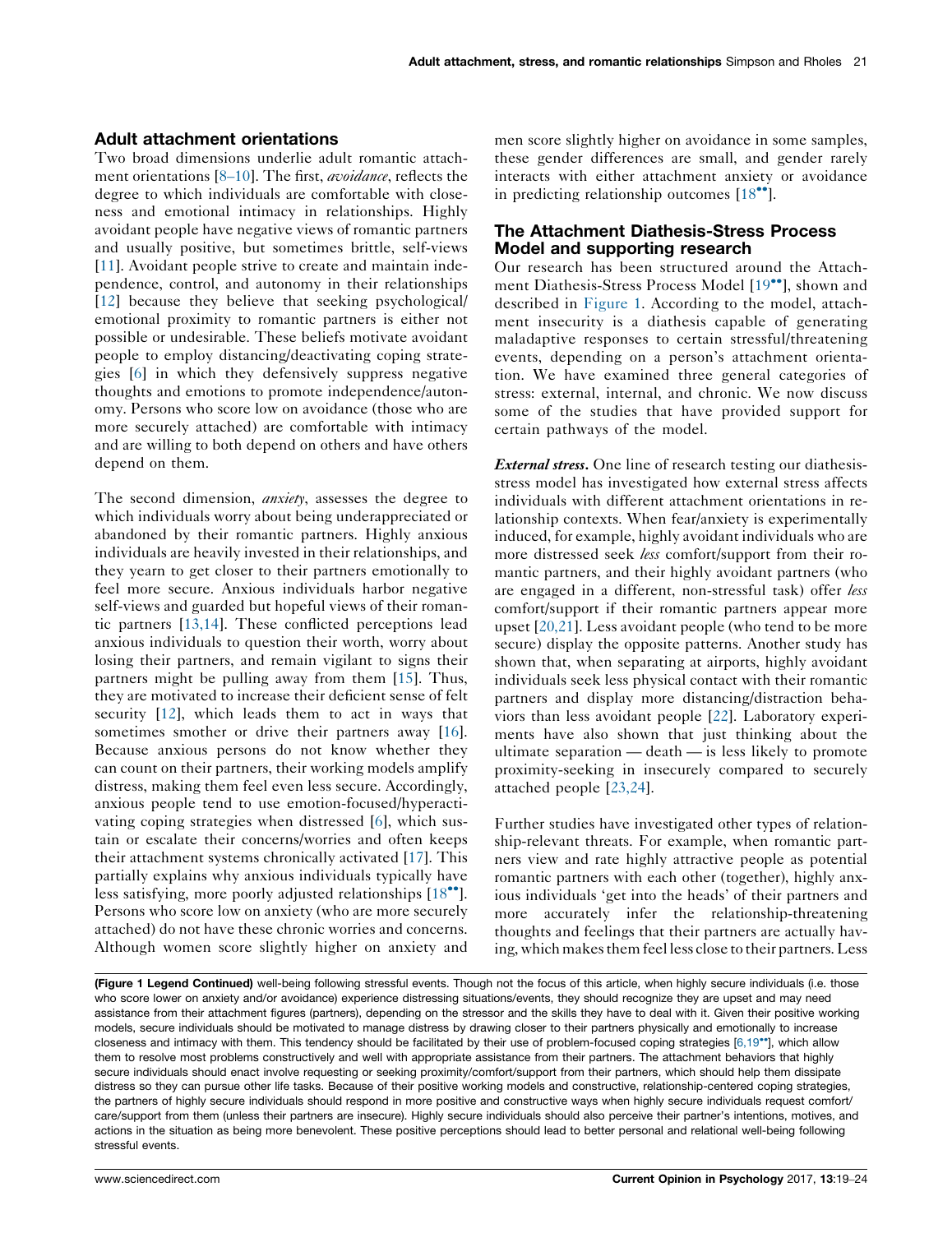## Adult attachment orientations

Two broad dimensions underlie adult romantic attach-ment orientations [8–[10](#page-4-0)]. The first, *avoidance*, reflects the degree to which individuals are comfortable with closeness and emotional intimacy in relationships. Highly avoidant people have negative views of romantic partners and usually positive, but sometimes brittle, self-views [\[11](#page-4-0)]. Avoidant people strive to create and maintain independence, control, and autonomy in their relationships [\[12](#page-4-0)] because they believe that seeking psychological/ emotional proximity to romantic partners is either not possible or undesirable. These beliefs motivate avoidant people to employ distancing/deactivating coping strategies [\[6](#page-4-0)] in which they defensively suppress negative thoughts and emotions to promote independence/autonomy. Persons who score low on avoidance (those who are more securely attached) are comfortable with intimacy and are willing to both depend on others and have others depend on them.

The second dimension, *anxiety*, assesses the degree to which individuals worry about being underappreciated or abandoned by their romantic partners. Highly anxious individuals are heavily invested in their relationships, and they yearn to get closer to their partners emotionally to feel more secure. Anxious individuals harbor negative self-views and guarded but hopeful views of their romantic partners [\[13,14\]](#page-4-0). These conflicted perceptions lead anxious individuals to question their worth, worry about losing their partners, and remain vigilant to signs their partners might be pulling away from them [\[15](#page-4-0)]. Thus, they are motivated to increase their deficient sense of felt security [\[12](#page-4-0)], which leads them to act in ways that sometimes smother or drive their partners away [\[16](#page-4-0)]. Because anxious persons do not know whether they can count on their partners, their working models amplify distress, making them feel even less secure. Accordingly, anxious people tend to use emotion-focused/hyperactivating coping strategies when distressed [\[6](#page-4-0)], which sustain or escalate their concerns/worries and often keeps their attachment systems chronically activated [[17\]](#page-4-0). This partially explains why anxious individuals typically have less satisfying, more poorly adjusted relationships [[18](#page-4-0)\*']. Persons who score low on anxiety (who are more securely attached) do not have these chronic worries and concerns. Although women score slightly higher on anxiety and

men score slightly higher on avoidance in some samples, these gender differences are small, and gender rarely interacts with either attachment anxiety or avoidance in predicting relationship outcomes [[18](#page-4-0)\*\*].

## The Attachment Diathesis-Stress Process Model and supporting research

Our research has been structured around the Attach-ment Diathesis-Stress Process Model [[19](#page-4-0)\*\*], shown and described in [Figure](#page-1-0) 1. According to the model, attachment insecurity is a diathesis capable of generating maladaptive responses to certain stressful/threatening events, depending on a person's attachment orientation. We have examined three general categories of stress: external, internal, and chronic. We now discuss some of the studies that have provided support for certain pathways of the model.

External stress. One line of research testing our diathesisstress model has investigated how external stress affects individuals with different attachment orientations in relationship contexts. When fear/anxiety is experimentally induced, for example, highly avoidant individuals who are more distressed seek less comfort/support from their romantic partners, and their highly avoidant partners (who are engaged in a different, non-stressful task) offer *less* comfort/support if their romantic partners appear more upset [[20,21](#page-4-0)]. Less avoidant people (who tend to be more secure) display the opposite patterns. Another study has shown that, when separating at airports, highly avoidant individuals seek less physical contact with their romantic partners and display more distancing/distraction behaviors than less avoidant people [[22\]](#page-4-0). Laboratory experiments have also shown that just thinking about the ultimate separation — death — is less likely to promote proximity-seeking in insecurely compared to securely attached people [\[23,24\]](#page-4-0).

Further studies have investigated other types of relationship-relevant threats. For example, when romantic partners view and rate highly attractive people as potential romantic partners with each other (together), highly anxious individuals 'get into the heads' of their partners and more accurately infer the relationship-threatening thoughts and feelings that their partners are actually having,which makesthem feel less close to their partners. Less

<sup>(</sup>Figure 1 Legend Continued) well-being following stressful events. Though not the focus of this article, when highly secure individuals (i.e. those who score lower on anxiety and/or avoidance) experience distressing situations/events, they should recognize they are upset and may need assistance from their attachment figures (partners), depending on the stressor and the skills they have to deal with it. Given their positive working models, secure individuals should be motivated to manage distress by drawing closer to their partners physically and emotionally to increase closeness and intimacy with them. This tendency should be facilitated by their use of problem-focused coping strategies [\[6,19](#page-4-0)<sup>\*</sup>], which allow them to resolve most problems constructively and well with appropriate assistance from their partners. The attachment behaviors that highly secure individuals should enact involve requesting or seeking proximity/comfort/support from their partners, which should help them dissipate distress so they can pursue other life tasks. Because of their positive working models and constructive, relationship-centered coping strategies, the partners of highly secure individuals should respond in more positive and constructive ways when highly secure individuals request comfort/ care/support from them (unless their partners are insecure). Highly secure individuals should also perceive their partner's intentions, motives, and actions in the situation as being more benevolent. These positive perceptions should lead to better personal and relational well-being following stressful events.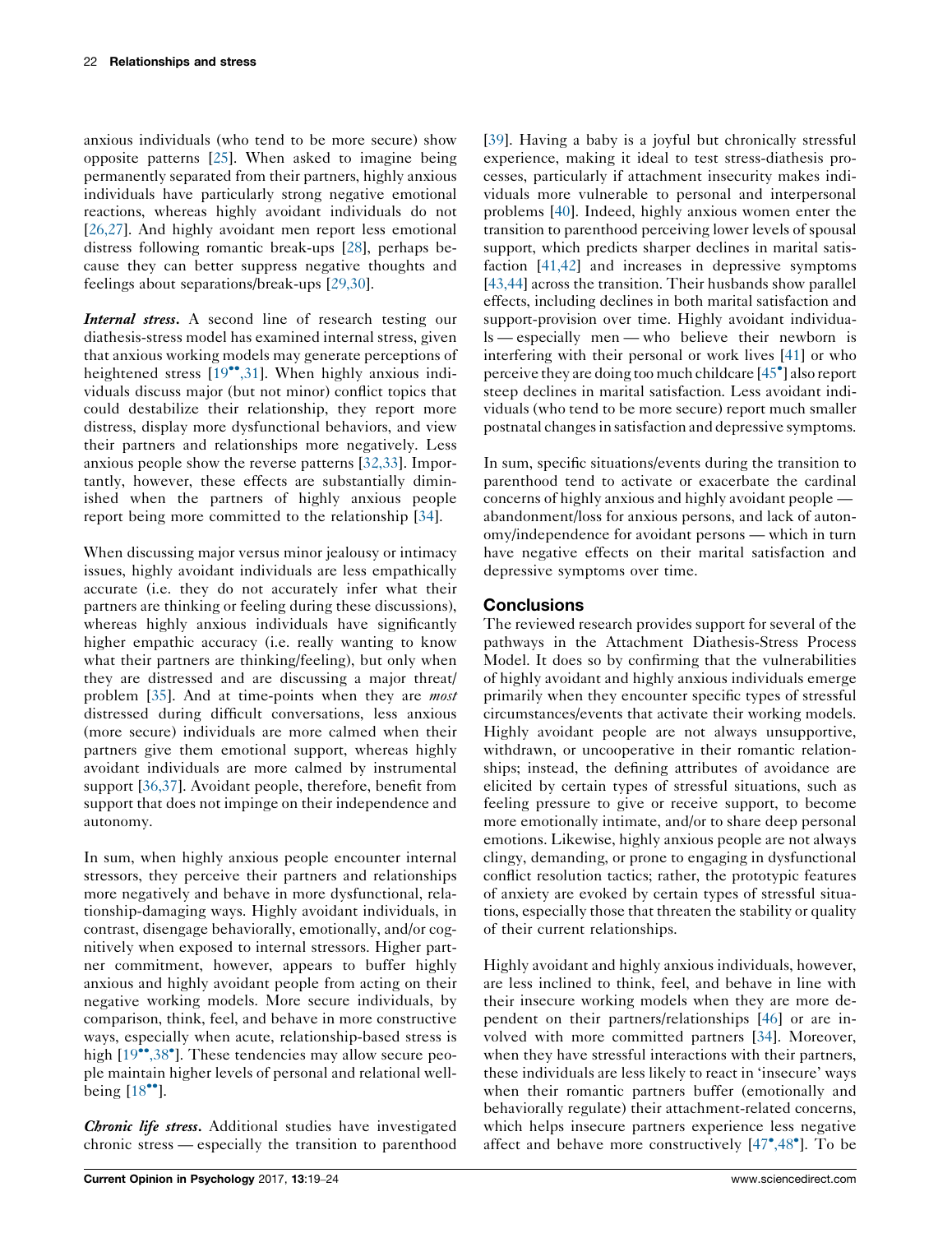anxious individuals (who tend to be more secure) show opposite patterns [\[25](#page-4-0)]. When asked to imagine being permanently separated from their partners, highly anxious individuals have particularly strong negative emotional reactions, whereas highly avoidant individuals do not [\[26,27](#page-4-0)]. And highly avoidant men report less emotional distress following romantic break-ups [\[28](#page-4-0)], perhaps because they can better suppress negative thoughts and feelings about separations/break-ups [\[29,30](#page-4-0)].

Internal stress. A second line of research testing our diathesis-stress model has examined internal stress, given that anxious working models may generate perceptions of heightened stress [\[19](#page-4-0)\*\*[,31](#page-4-0)]. When highly anxious individuals discuss major (but not minor) conflict topics that could destabilize their relationship, they report more distress, display more dysfunctional behaviors, and view their partners and relationships more negatively. Less anxious people show the reverse patterns [[32,33](#page-5-0)]. Importantly, however, these effects are substantially diminished when the partners of highly anxious people report being more committed to the relationship [\[34](#page-5-0)].

When discussing major versus minor jealousy or intimacy issues, highly avoidant individuals are less empathically accurate (i.e. they do not accurately infer what their partners are thinking or feeling during these discussions), whereas highly anxious individuals have significantly higher empathic accuracy (i.e. really wanting to know what their partners are thinking/feeling), but only when they are distressed and are discussing a major threat/ problem [[35](#page-5-0)]. And at time-points when they are most distressed during difficult conversations, less anxious (more secure) individuals are more calmed when their partners give them emotional support, whereas highly avoidant individuals are more calmed by instrumental support [[36,37](#page-5-0)]. Avoidant people, therefore, benefit from support that does not impinge on their independence and autonomy.

In sum, when highly anxious people encounter internal stressors, they perceive their partners and relationships more negatively and behave in more dysfunctional, relationship-damaging ways. Highly avoidant individuals, in contrast, disengage behaviorally, emotionally, and/or cognitively when exposed to internal stressors. Higher partner commitment, however, appears to buffer highly anxious and highly avoidant people from acting on their negative working models. More secure individuals, by comparison, think, feel, and behave in more constructive ways, especially when acute, relationship-based stress is high [[19](#page-4-0)<sup>••</sup>[,38](#page-4-0)<sup>•</sup>]. These tendencies may allow secure people maintain higher levels of personal and relational wellbeing  $[18$ <sup>\*</sup>].

Chronic life stress. Additional studies have investigated chronic stress — especially the transition to parenthood

[\[39](#page-5-0)]. Having a baby is a joyful but chronically stressful experience, making it ideal to test stress-diathesis processes, particularly if attachment insecurity makes individuals more vulnerable to personal and interpersonal problems [\[40](#page-5-0)]. Indeed, highly anxious women enter the transition to parenthood perceiving lower levels of spousal support, which predicts sharper declines in marital satisfaction [[41,42\]](#page-5-0) and increases in depressive symptoms [\[43,44\]](#page-5-0) across the transition. Their husbands show parallel effects, including declines in both marital satisfaction and support-provision over time. Highly avoidant individuals — especially men — who believe their newborn is interfering with their personal or work lives [\[41](#page-5-0)] or who perceive they are doing too much childcare [\[45](#page-5-0)°] also report steep declines in marital satisfaction. Less avoidant individuals (who tend to be more secure) report much smaller postnatal changes in satisfaction and depressive symptoms.

In sum, specific situations/events during the transition to parenthood tend to activate or exacerbate the cardinal concerns of highly anxious and highly avoidant people abandonment/loss for anxious persons, and lack of autonomy/independence for avoidant persons — which in turn have negative effects on their marital satisfaction and depressive symptoms over time.

# **Conclusions**

The reviewed research provides support for several of the pathways in the Attachment Diathesis-Stress Process Model. It does so by confirming that the vulnerabilities of highly avoidant and highly anxious individuals emerge primarily when they encounter specific types of stressful circumstances/events that activate their working models. Highly avoidant people are not always unsupportive, withdrawn, or uncooperative in their romantic relationships; instead, the defining attributes of avoidance are elicited by certain types of stressful situations, such as feeling pressure to give or receive support, to become more emotionally intimate, and/or to share deep personal emotions. Likewise, highly anxious people are not always clingy, demanding, or prone to engaging in dysfunctional conflict resolution tactics; rather, the prototypic features of anxiety are evoked by certain types of stressful situations, especially those that threaten the stability or quality of their current relationships.

Highly avoidant and highly anxious individuals, however, are less inclined to think, feel, and behave in line with their insecure working models when they are more dependent on their partners/relationships [[46\]](#page-5-0) or are involved with more committed partners [\[34](#page-5-0)]. Moreover, when they have stressful interactions with their partners, these individuals are less likely to react in 'insecure' ways when their romantic partners buffer (emotionally and behaviorally regulate) their attachment-related concerns, which helps insecure partners experience less negative affect and behave more constructively  $[47^{\circ}, 48^{\circ}]$  $[47^{\circ}, 48^{\circ}]$  $[47^{\circ}, 48^{\circ}]$ . To be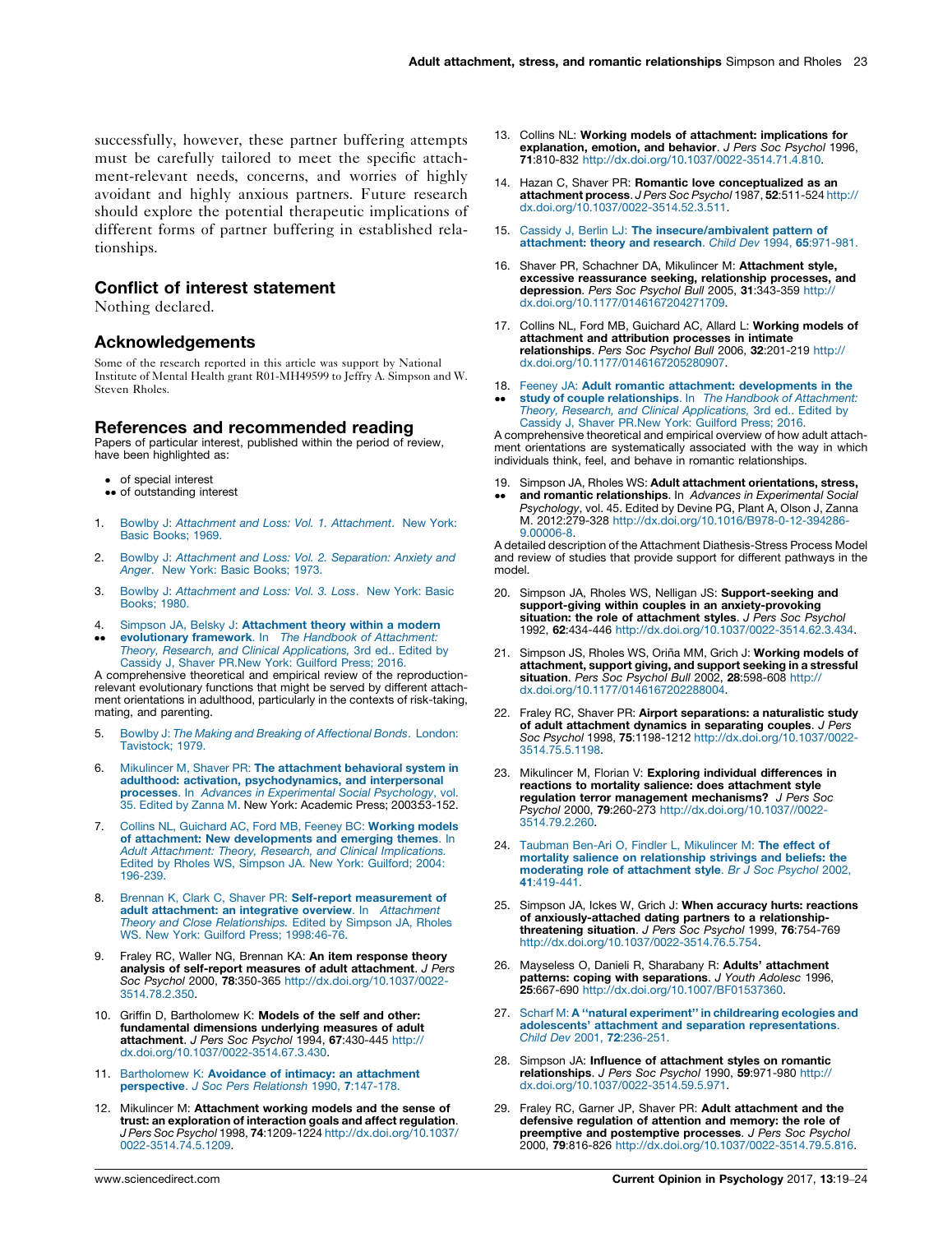<span id="page-4-0"></span>successfully, however, these partner buffering attempts must be carefully tailored to meet the specific attachment-relevant needs, concerns, and worries of highly avoidant and highly anxious partners. Future research should explore the potential therapeutic implications of different forms of partner buffering in established relationships.

## Conflict of interest statement

Nothing declared.

## Acknowledgements

Some of the research reported in this article was support by National Institute of Mental Health grant R01-MH49599 to Jeffry A. Simpson and W. Steven Rholes.

#### References and recommended reading

Papers of particular interest, published within the period of review, have been highlighted as:

- of special interest
- •• of outstanding interest
- 1. Bowlby J: Attachment and Loss: Vol. 1. [Attachment](http://refhub.elsevier.com/S2352-250X(16)30030-6/sbref0245). New York: Basic [Books;](http://refhub.elsevier.com/S2352-250X(16)30030-6/sbref0245) 1969.
- 2. Bowlby J: [Attachment](http://refhub.elsevier.com/S2352-250X(16)30030-6/sbref0250) and Loss: Vol. 2. Separation: Anxiety and Anger. New York: Basic [Books;](http://refhub.elsevier.com/S2352-250X(16)30030-6/sbref0250) 1973.
- 3. Bowlby J: [Attachment](http://refhub.elsevier.com/S2352-250X(16)30030-6/sbref0255) and Loss: Vol. 3. Loss. New York: Basic [Books;](http://refhub.elsevier.com/S2352-250X(16)30030-6/sbref0255) 1980.
- 4.
- $\bullet$  $\bullet$ Simpson JA, Belsky J: **[Attachment](http://refhub.elsevier.com/S2352-250X(16)30030-6/sbref0260) theory within a modern**<br>**[evolutionary](http://refhub.elsevier.com/S2352-250X(16)30030-6/sbref0260) framework**. In *The Handbook of Attachment:* Theory, Research, and Clinical [Applications,](http://refhub.elsevier.com/S2352-250X(16)30030-6/sbref0260) 3rd ed.. Edited by Cassidy J, Shaver [PR.New](http://refhub.elsevier.com/S2352-250X(16)30030-6/sbref0260) York: Guilford Press; 2016.

A comprehensive theoretical and empirical review of the reproductionrelevant evolutionary functions that might be served by different attachment orientations in adulthood, particularly in the contexts of risk-taking, mating, and parenting.

- 5. Bowlby J: The Making and Breaking of [Affectional](http://refhub.elsevier.com/S2352-250X(16)30030-6/sbref0265) Bonds. London: [Tavistock;](http://refhub.elsevier.com/S2352-250X(16)30030-6/sbref0265) 1979.
- 6. Mikulincer M, Shaver PR: The [attachment](http://refhub.elsevier.com/S2352-250X(16)30030-6/sbref0270) behavioral system in adulthood: activation, [psychodynamics,](http://refhub.elsevier.com/S2352-250X(16)30030-6/sbref0270) and interpersonal processes. In Advances in [Experimental](http://refhub.elsevier.com/S2352-250X(16)30030-6/sbref0270) Social Psychology, vol. 35. [Edited](http://refhub.elsevier.com/S2352-250X(16)30030-6/sbref0270) by Zanna M. New York: Academic Press; 2003:53-152.
- 7. Collins NL, [Guichard](http://refhub.elsevier.com/S2352-250X(16)30030-6/sbref0275) AC, Ford MB, Feeney BC: Working models of attachment: New [developments](http://refhub.elsevier.com/S2352-250X(16)30030-6/sbref0275) and emerging themes. In Adult Attachment: Theory, Research, and Clinical [Implications.](http://refhub.elsevier.com/S2352-250X(16)30030-6/sbref0275) Edited by Rholes WS, [Simpson](http://refhub.elsevier.com/S2352-250X(16)30030-6/sbref0275) JA. New York: Guilford; 2004: [196-239](http://refhub.elsevier.com/S2352-250X(16)30030-6/sbref0275).
- 8. Brennan K, Clark C, Shaver PR: Self-report [measurement](http://refhub.elsevier.com/S2352-250X(16)30030-6/sbref0280) of adult [attachment:](http://refhub.elsevier.com/S2352-250X(16)30030-6/sbref0280) an integrative overview. In Attachment Theory and Close [Relationships.](http://refhub.elsevier.com/S2352-250X(16)30030-6/sbref0280) Edited by Simpson JA, Rholes WS. New York: [Guilford](http://refhub.elsevier.com/S2352-250X(16)30030-6/sbref0280) Press; 1998:[46-76.](http://refhub.elsevier.com/S2352-250X(16)30030-6/sbref0280)
- 9. Fraley RC, Waller NG, Brennan KA: An item response theory analysis of self-report measures of adult attachment. J Pers Soc Psychol 2000, 78:350-365 [http://dx.doi.org/10.1037/0022-](http://dx.doi.org/10.1037/0022-3514.78.2.350) [3514.78.2.350](http://dx.doi.org/10.1037/0022-3514.78.2.350).
- 10. Griffin D, Bartholomew K: Models of the self and other: fundamental dimensions underlying measures of adult attachment. J Pers Soc Psychol 1994, 67:430-445 [http://](http://dx.doi.org/10.1037/0022-3514.67.3.430) [dx.doi.org/10.1037/0022-3514.67.3.430](http://dx.doi.org/10.1037/0022-3514.67.3.430).
- 11. [Bartholomew](http://refhub.elsevier.com/S2352-250X(16)30030-6/sbref0295) K: Avoidance of intimacy: an attachment [perspective](http://refhub.elsevier.com/S2352-250X(16)30030-6/sbref0295). J Soc Pers Relationsh 1990, 7:147-178.
- 12. Mikulincer M: Attachment working models and the sense of trust: an exploration of interaction goals and affect regulation. **J Pers Soc Psychol 1998, 74:1209-122**4 [http://dx.doi.org/10.1037/](http://dx.doi.org/10.1037/0022-3514.74.5.1209)<br>[0022-3514.74.5.1209.](http://dx.doi.org/10.1037/0022-3514.74.5.1209)
- 13. Collins NL: Working models of attachment: implications for explanation, emotion, and behavior. J Pers Soc Psychol 1996, 71:810-832 <http://dx.doi.org/10.1037/0022-3514.71.4.810>.
- 14. Hazan C, Shaver PR: Romantic love conceptualized as an attachment process. J Pers Soc Psychol 1987, 52:511-524 [http://](http://dx.doi.org/10.1037/0022-3514.52.3.511) [dx.doi.org/10.1037/0022-3514.52.3.511](http://dx.doi.org/10.1037/0022-3514.52.3.511).
- 15. Cassidy J. Berlin LJ: The [insecure/ambivalent](http://refhub.elsevier.com/S2352-250X(16)30030-6/sbref0315) pattern of [attachment:](http://refhub.elsevier.com/S2352-250X(16)30030-6/sbref0315) theory and research. Child Dev 1994, 65:971-981.
- 16. Shaver PR, Schachner DA, Mikulincer M: Attachment style, excessive reassurance seeking, relationship processes, and<br>depression. Pers Soc Psychol Bull 2005, 31:343-359 [http://](http://dx.doi.org/10.1177/0146167204271709) [dx.doi.org/10.1177/0146167204271709.](http://dx.doi.org/10.1177/0146167204271709)
- 17. Collins NL, Ford MB, Guichard AC, Allard L: Working models of attachment and attribution processes in intimate relationships. Pers Soc Psychol Bull 2006, 32:201-219 [http://](http://dx.doi.org/10.1177/0146167205280907) [dx.doi.org/10.1177/0146167205280907.](http://dx.doi.org/10.1177/0146167205280907)

#### 18. Feeney JA: Adult romantic attachment: [developments](http://refhub.elsevier.com/S2352-250X(16)30030-6/sbref0330) in the

-study of couple [relationships](http://refhub.elsevier.com/S2352-250X(16)30030-6/sbref0330). In The Handbook of Attachment: Theory, Research, and Clinical [Applications,](http://refhub.elsevier.com/S2352-250X(16)30030-6/sbref0330) 3rd ed.. Edited by Cassidy J, Shaver [PR.New](http://refhub.elsevier.com/S2352-250X(16)30030-6/sbref0330) York: Guilford Press; 2016.

A comprehensive theoretical and empirical overview of how adult attachment orientations are systematically associated with the way in which individuals think, feel, and behave in romantic relationships.

- 19. Simpson JA, Rholes WS: Adult attachment orientations, stress,
- -and romantic relationships. In Advances in Experimental Social Psychology, vol. 45. Edited by Devine PG, Plant A, Olson J, Zanna M. 2012:279-328 [http://dx.doi.org/10.1016/B978-0-12-394286-](http://dx.doi.org/10.1016/B978-0-12-394286-9.00006-8) [9.00006-8.](http://dx.doi.org/10.1016/B978-0-12-394286-9.00006-8)

A detailed description of the Attachment Diathesis-Stress Process Model and review of studies that provide support for different pathways in the model.

- 20. Simpson JA, Rholes WS, Nelligan JS: Support-seeking and support-giving within couples in an anxiety-provoking situation: the role of attachment styles. J Pers Soc Psychol 1992, 62:434-446 <http://dx.doi.org/10.1037/0022-3514.62.3.434>.
- 21. Simpson JS, Rholes WS, Oriña MM, Grich J: Working models of attachment, support giving, and support seeking in a stressful situation. Pers Soc Psychol Bull 2002, 28:598-608 [http://](http://dx.doi.org/10.1177/0146167202288004) [dx.doi.org/10.1177/0146167202288004.](http://dx.doi.org/10.1177/0146167202288004)
- 22. Fraley RC, Shaver PR: Airport separations: a naturalistic study of adult attachment dynamics in separating couples. J Pers Soc Psychol 1998, 75:1198-1212 [http://dx.doi.org/10.1037/0022-](http://dx.doi.org/10.1037/0022-3514.75.5.1198) [3514.75.5.1198](http://dx.doi.org/10.1037/0022-3514.75.5.1198).
- 23. Mikulincer M, Florian V: Exploring individual differences in reactions to mortality salience: does attachment style regulation terror management mechanisms? J Pers Soc Psychol 2000, 79:260-273 [http://dx.doi.org/10.1037//0022-](http://dx.doi.org/10.1037//0022-3514.79.2.260) [3514.79.2.260](http://dx.doi.org/10.1037//0022-3514.79.2.260).
- 24. Taubman Ben-Ari O, Findler L, [Mikulincer](http://refhub.elsevier.com/S2352-250X(16)30030-6/sbref0360) M: The effect of mortality salience on [relationship](http://refhub.elsevier.com/S2352-250X(16)30030-6/sbref0360) strivings and beliefs: the moderating role of [attachment](http://refhub.elsevier.com/S2352-250X(16)30030-6/sbref0360) style. Br J Soc Psychol 2002, 41[:419-441.](http://refhub.elsevier.com/S2352-250X(16)30030-6/sbref0360)
- 25. Simpson JA, Ickes W, Grich J: When accuracy hurts: reactions of anxiously-attached dating partners to a relationship-threatening situation. J Pers Soc Psychol 1999, 76:754-769 [http://dx.doi.org/10.1037/0022-3514.76.5.754.](http://dx.doi.org/10.1037/0022-3514.76.5.754)
- 26. Mayseless O, Danieli R, Sharabany R: Adults' attachment patterns: coping with separations. J Youth Adolesc 1996, 25:667-690 [http://dx.doi.org/10.1007/BF01537360.](http://dx.doi.org/10.1007/BF01537360)
- 27. Scharf M: A "natural experiment" in childrearing ecologies and adolescents' attachment and separation [representations](http://refhub.elsevier.com/S2352-250X(16)30030-6/sbref0375). Child Dev 2001, 72[:236-251.](http://refhub.elsevier.com/S2352-250X(16)30030-6/sbref0375)
- 28. Simpson JA: Influence of attachment styles on romantic relationships. J Pers Soc Psychol 1990, 59:971-980 [http://](http://dx.doi.org/10.1037/0022-3514.59.5.971) [dx.doi.org/10.1037/0022-3514.59.5.971](http://dx.doi.org/10.1037/0022-3514.59.5.971).
- 29. Fraley RC, Garner JP, Shaver PR: Adult attachment and the defensive regulation of attention and memory: the role of preemptive and postemptive processes. J Pers Soc Psychol 2000, 79:816-826 <http://dx.doi.org/10.1037/0022-3514.79.5.816>.